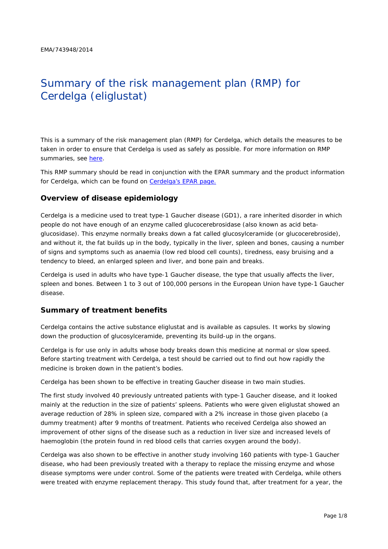# Summary of the risk management plan (RMP) for Cerdelga (eliglustat)

This is a summary of the risk management plan (RMP) for Cerdelga, which details the measures to be taken in order to ensure that Cerdelga is used as safely as possible. For more information on RMP summaries, see [here.](http://www.ema.europa.eu/docs/en_GB/document_library/Other/2014/05/WC500166101.pdf)

This RMP summary should be read in conjunction with the EPAR summary and the product information for Cerdelga, which can be found on [Cerdelga's EPAR page.](http://www.ema.europa.eu/ema/index.jsp?curl=/pages/medicines/human/medicines/003724/human_med_001840.jsp)

#### **Overview of disease epidemiology**

Cerdelga is a medicine used to treat type-1 Gaucher disease (GD1), a rare inherited disorder in which people do not have enough of an enzyme called glucocerebrosidase (also known as acid betaglucosidase). This enzyme normally breaks down a fat called glucosylceramide (or glucocerebroside), and without it, the fat builds up in the body, typically in the liver, spleen and bones, causing a number of signs and symptoms such as anaemia (low red blood cell counts), tiredness, easy bruising and a tendency to bleed, an enlarged spleen and liver, and bone pain and breaks.

Cerdelga is used in adults who have type-1 Gaucher disease, the type that usually affects the liver, spleen and bones. Between 1 to 3 out of 100,000 persons in the European Union have type-1 Gaucher disease.

#### **Summary of treatment benefits**

Cerdelga contains the active substance eliglustat and is available as capsules. It works by slowing down the production of glucosylceramide, preventing its build-up in the organs.

Cerdelga is for use only in adults whose body breaks down this medicine at normal or slow speed. Before starting treatment with Cerdelga, a test should be carried out to find out how rapidly the medicine is broken down in the patient's bodies.

Cerdelga has been shown to be effective in treating Gaucher disease in two main studies.

The first study involved 40 previously untreated patients with type-1 Gaucher disease, and it looked mainly at the reduction in the size of patients' spleens. Patients who were given eliglustat showed an average reduction of 28% in spleen size, compared with a 2% increase in those given placebo (a dummy treatment) after 9 months of treatment. Patients who received Cerdelga also showed an improvement of other signs of the disease such as a reduction in liver size and increased levels of haemoglobin (the protein found in red blood cells that carries oxygen around the body).

Cerdelga was also shown to be effective in another study involving 160 patients with type-1 Gaucher disease, who had been previously treated with a therapy to replace the missing enzyme and whose disease symptoms were under control. Some of the patients were treated with Cerdelga, while others were treated with enzyme replacement therapy. This study found that, after treatment for a year, the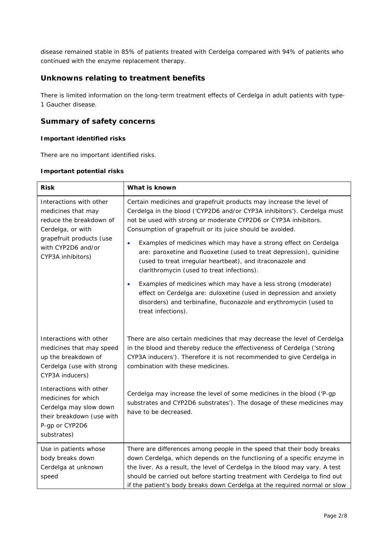disease remained stable in 85% of patients treated with Cerdelga compared with 94% of patients who continued with the enzyme replacement therapy.

## **Unknowns relating to treatment benefits**

There is limited information on the long-term treatment effects of Cerdelga in adult patients with type-1 Gaucher disease.

#### **Summary of safety concerns**

#### *Important identified risks*

There are no important identified risks.

#### *Important potential risks*

| <b>Risk</b>                                                                                                                                                          | What is known                                                                                                                                                                                                                                                                  |  |  |
|----------------------------------------------------------------------------------------------------------------------------------------------------------------------|--------------------------------------------------------------------------------------------------------------------------------------------------------------------------------------------------------------------------------------------------------------------------------|--|--|
| Interactions with other<br>medicines that may<br>reduce the breakdown of<br>Cerdelga, or with<br>grapefruit products (use<br>with CYP2D6 and/or<br>CYP3A inhibitors) | Certain medicines and grapefruit products may increase the level of<br>Cerdelga in the blood ('CYP2D6 and/or CYP3A inhibitors'). Cerdelga must<br>not be used with strong or moderate CYP2D6 or CYP3A inhibitors.<br>Consumption of grapefruit or its juice should be avoided. |  |  |
|                                                                                                                                                                      | Examples of medicines which may have a strong effect on Cerdelga<br>$\bullet$<br>are: paroxetine and fluoxetine (used to treat depression), quinidine<br>(used to treat irregular heartbeat), and itraconazole and<br>clarithromycin (used to treat infections).               |  |  |
|                                                                                                                                                                      | Examples of medicines which may have a less strong (moderate)<br>effect on Cerdelga are: duloxetine (used in depression and anxiety<br>disorders) and terbinafine, fluconazole and erythromycin (used to<br>treat infections).                                                 |  |  |
| Interactions with other<br>medicines that may speed<br>up the breakdown of<br>Cerdelga (use with strong<br>CYP3A inducers)                                           | There are also certain medicines that may decrease the level of Cerdelga<br>in the blood and thereby reduce the effectiveness of Cerdelga ('strong<br>CYP3A inducers'). Therefore it is not recommended to give Cerdelga in<br>combination with these medicines.               |  |  |
| Interactions with other<br>medicines for which<br>Cerdelga may slow down<br>their breakdown (use with<br>P-gp or CYP2D6<br>substrates)                               | Cerdelga may increase the level of some medicines in the blood ('P-gp<br>substrates and CYP2D6 substrates'). The dosage of these medicines may<br>have to be decreased.                                                                                                        |  |  |
| Use in patients whose                                                                                                                                                | There are differences among people in the speed that their body breaks                                                                                                                                                                                                         |  |  |
| body breaks down<br>Cerdelga at unknown                                                                                                                              | down Cerdelga, which depends on the functioning of a specific enzyme in<br>the liver. As a result, the level of Cerdelga in the blood may vary. A test                                                                                                                         |  |  |
| speed                                                                                                                                                                | should be carried out before starting treatment with Cerdelga to find out<br>if the patient's body breaks down Cerdelga at the required normal or slow                                                                                                                         |  |  |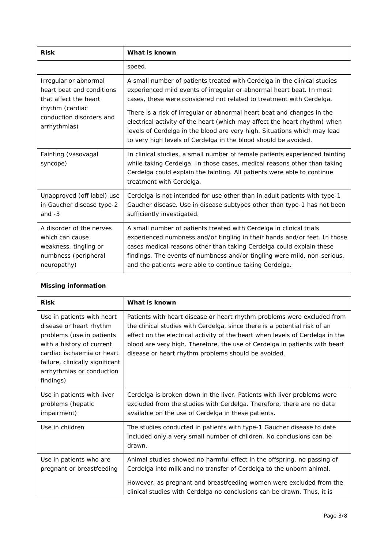| <b>Risk</b>                                                                                                                                | What is known                                                                                                                                                                                                                                                                                                                                                                                                                                                                                                                  |  |  |
|--------------------------------------------------------------------------------------------------------------------------------------------|--------------------------------------------------------------------------------------------------------------------------------------------------------------------------------------------------------------------------------------------------------------------------------------------------------------------------------------------------------------------------------------------------------------------------------------------------------------------------------------------------------------------------------|--|--|
|                                                                                                                                            | speed.                                                                                                                                                                                                                                                                                                                                                                                                                                                                                                                         |  |  |
| Irregular or abnormal<br>heart beat and conditions<br>that affect the heart<br>rhythm (cardiac<br>conduction disorders and<br>arrhythmias) | A small number of patients treated with Cerdelga in the clinical studies<br>experienced mild events of irregular or abnormal heart beat. In most<br>cases, these were considered not related to treatment with Cerdelga.<br>There is a risk of irregular or abnormal heart beat and changes in the<br>electrical activity of the heart (which may affect the heart rhythm) when<br>levels of Cerdelga in the blood are very high. Situations which may lead<br>to very high levels of Cerdelga in the blood should be avoided. |  |  |
| Fainting (vasovagal<br>syncope)                                                                                                            | In clinical studies, a small number of female patients experienced fainting<br>while taking Cerdelga. In those cases, medical reasons other than taking<br>Cerdelga could explain the fainting. All patients were able to continue<br>treatment with Cerdelga.                                                                                                                                                                                                                                                                 |  |  |
| Unapproved (off label) use<br>in Gaucher disease type-2<br>and $-3$                                                                        | Cerdelga is not intended for use other than in adult patients with type-1<br>Gaucher disease. Use in disease subtypes other than type-1 has not been<br>sufficiently investigated.                                                                                                                                                                                                                                                                                                                                             |  |  |
| A disorder of the nerves<br>which can cause<br>weakness, tingling or<br>numbness (peripheral<br>neuropathy)                                | A small number of patients treated with Cerdelga in clinical trials<br>experienced numbness and/or tingling in their hands and/or feet. In those<br>cases medical reasons other than taking Cerdelga could explain these<br>findings. The events of numbness and/or tingling were mild, non-serious,<br>and the patients were able to continue taking Cerdelga.                                                                                                                                                                |  |  |

#### *Missing information*

| <b>Risk</b>                                                                                                                                                                                                                | What is known                                                                                                                                                                                                                                                                                                                                                              |
|----------------------------------------------------------------------------------------------------------------------------------------------------------------------------------------------------------------------------|----------------------------------------------------------------------------------------------------------------------------------------------------------------------------------------------------------------------------------------------------------------------------------------------------------------------------------------------------------------------------|
| Use in patients with heart<br>disease or heart rhythm<br>problems (use in patients<br>with a history of current<br>cardiac ischaemia or heart<br>failure, clinically significant<br>arrhythmias or conduction<br>findings) | Patients with heart disease or heart rhythm problems were excluded from<br>the clinical studies with Cerdelga, since there is a potential risk of an<br>effect on the electrical activity of the heart when levels of Cerdelga in the<br>blood are very high. Therefore, the use of Cerdelga in patients with heart<br>disease or heart rhythm problems should be avoided. |
| Use in patients with liver<br>problems (hepatic<br>impairment)                                                                                                                                                             | Cerdelga is broken down in the liver. Patients with liver problems were<br>excluded from the studies with Cerdelga. Therefore, there are no data<br>available on the use of Cerdelga in these patients.                                                                                                                                                                    |
| Use in children                                                                                                                                                                                                            | The studies conducted in patients with type-1 Gaucher disease to date<br>included only a very small number of children. No conclusions can be<br>drawn.                                                                                                                                                                                                                    |
| Use in patients who are<br>pregnant or breastfeeding                                                                                                                                                                       | Animal studies showed no harmful effect in the offspring, no passing of<br>Cerdelga into milk and no transfer of Cerdelga to the unborn animal.<br>However, as pregnant and breastfeeding women were excluded from the<br>clinical studies with Cerdelga no conclusions can be drawn. Thus, it is                                                                          |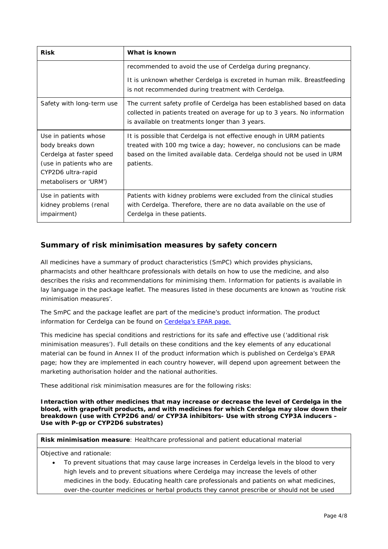| <b>Risk</b>                                                                                                                                       | What is known                                                                                                                                                                                                                        |  |  |  |
|---------------------------------------------------------------------------------------------------------------------------------------------------|--------------------------------------------------------------------------------------------------------------------------------------------------------------------------------------------------------------------------------------|--|--|--|
|                                                                                                                                                   | recommended to avoid the use of Cerdelga during pregnancy.                                                                                                                                                                           |  |  |  |
|                                                                                                                                                   | It is unknown whether Cerdelga is excreted in human milk. Breastfeeding<br>is not recommended during treatment with Cerdelga.                                                                                                        |  |  |  |
| Safety with long-term use                                                                                                                         | The current safety profile of Cerdelga has been established based on data<br>collected in patients treated on average for up to 3 years. No information<br>is available on treatments longer than 3 years.                           |  |  |  |
| Use in patients whose<br>body breaks down<br>Cerdelga at faster speed<br>(use in patients who are<br>CYP2D6 ultra-rapid<br>metabolisers or 'URM') | It is possible that Cerdelga is not effective enough in URM patients<br>treated with 100 mg twice a day; however, no conclusions can be made<br>based on the limited available data. Cerdelga should not be used in URM<br>patients. |  |  |  |
| Use in patients with<br>kidney problems (renal<br>impairment)                                                                                     | Patients with kidney problems were excluded from the clinical studies<br>with Cerdelga. Therefore, there are no data available on the use of<br>Cerdelga in these patients.                                                          |  |  |  |

## **Summary of risk minimisation measures by safety concern**

All medicines have a summary of product characteristics (SmPC) which provides physicians, pharmacists and other healthcare professionals with details on how to use the medicine, and also describes the risks and recommendations for minimising them. Information for patients is available in lay language in the package leaflet. The measures listed in these documents are known as 'routine risk minimisation measures'.

The SmPC and the package leaflet are part of the medicine's product information. The product information for Cerdelga can be found on [Cerdelga's EPAR page.](http://www.ema.europa.eu/ema/index.jsp?curl=/pages/medicines/human/medicines/003724/human_med_001840.jsp)

This medicine has special conditions and restrictions for its safe and effective use ('additional risk minimisation measures'). Full details on these conditions and the key elements of any educational material can be found in Annex II of the product information which is published on Cerdelga's EPAR page; how they are implemented in each country however, will depend upon agreement between the marketing authorisation holder and the national authorities.

These additional risk minimisation measures are for the following risks:

*Interaction with other medicines that may increase or decrease the level of Cerdelga in the blood, with grapefruit products, and with medicines for which Cerdelga may slow down their breakdown (use with CYP2D6 and/or CYP3A inhibitors- Use with strong CYP3A inducers – Use with P-gp or CYP2D6 substrates)*

**Risk minimisation measure**: Healthcare professional and patient educational material

Objective and rationale:

• To prevent situations that may cause large increases in Cerdelga levels in the blood to very high levels and to prevent situations where Cerdelga may increase the levels of other medicines in the body. Educating health care professionals and patients on what medicines, over-the-counter medicines or herbal products they cannot prescribe or should not be used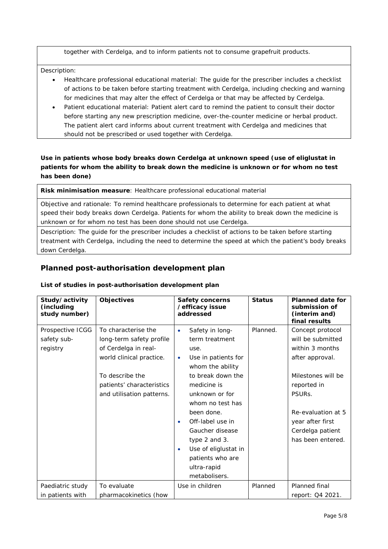together with Cerdelga, and to inform patients not to consume grapefruit products.

Description:

- Healthcare professional educational material: The guide for the prescriber includes a checklist of actions to be taken before starting treatment with Cerdelga, including checking and warning for medicines that may alter the effect of Cerdelga or that may be affected by Cerdelga.
- Patient educational material: Patient alert card to remind the patient to consult their doctor before starting any new prescription medicine, over-the-counter medicine or herbal product. The patient alert card informs about current treatment with Cerdelga and medicines that should not be prescribed or used together with Cerdelga.

#### *Use in patients whose body breaks down Cerdelga at unknown speed (use of eliglustat in patients for whom the ability to break down the medicine is unknown or for whom no test has been done)*

**Risk minimisation measure**: Healthcare professional educational material

Objective and rationale: To remind healthcare professionals to determine for each patient at what speed their body breaks down Cerdelga. Patients for whom the ability to break down the medicine is unknown or for whom no test has been done should not use Cerdelga.

Description: The guide for the prescriber includes a checklist of actions to be taken before starting treatment with Cerdelga, including the need to determine the speed at which the patient's body breaks down Cerdelga.

## **Planned post-authorisation development plan**

#### *List of studies in post-authorisation development plan*

| Study/activity<br>(including<br>study number) | <b>Objectives</b>                                                                                                                                                                | Safety concerns<br>/efficacy issue<br>addressed                                                                                                                                                | <b>Status</b> | <b>Planned date for</b><br>submission of<br>(interim and)<br>final results                                                                       |
|-----------------------------------------------|----------------------------------------------------------------------------------------------------------------------------------------------------------------------------------|------------------------------------------------------------------------------------------------------------------------------------------------------------------------------------------------|---------------|--------------------------------------------------------------------------------------------------------------------------------------------------|
| Prospective ICGG<br>safety sub-<br>registry   | To characterise the<br>long-term safety profile<br>of Cerdelga in real-<br>world clinical practice.<br>To describe the<br>patients' characteristics<br>and utilisation patterns. | Safety in long-<br>$\bullet$<br>term treatment<br>use.<br>Use in patients for<br>٠<br>whom the ability<br>to break down the<br>medicine is<br>unknown or for<br>whom no test has<br>been done. | Planned.      | Concept protocol<br>will be submitted<br>within 3 months<br>after approval.<br>Milestones will be<br>reported in<br>PSURs.<br>Re-evaluation at 5 |
|                                               |                                                                                                                                                                                  | Off-label use in<br>Gaucher disease<br>type 2 and 3.<br>Use of eliglustat in<br>patients who are<br>ultra-rapid<br>metabolisers.                                                               |               | year after first<br>Cerdelga patient<br>has been entered.                                                                                        |
| Paediatric study<br>in patients with          | To evaluate<br>pharmacokinetics (how                                                                                                                                             | Use in children                                                                                                                                                                                | Planned       | Planned final<br>report: Q4 2021.                                                                                                                |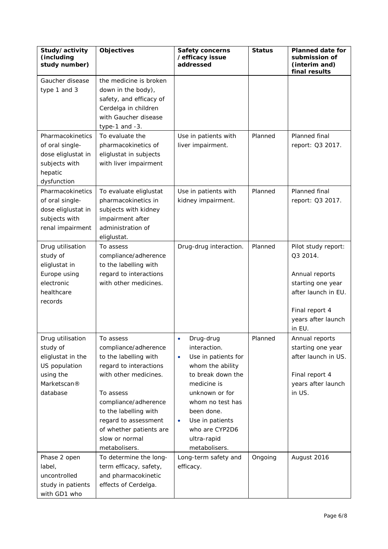| Study/activity<br>(including<br>study number)                                                                            | Objectives                                                                                                                                                                                                                                                        | <b>Safety concerns</b><br>/efficacy issue<br>addressed                                                                                                                                                                                                      | <b>Status</b> | <b>Planned date for</b><br>submission of<br>(interim and)<br>final results                                                                      |
|--------------------------------------------------------------------------------------------------------------------------|-------------------------------------------------------------------------------------------------------------------------------------------------------------------------------------------------------------------------------------------------------------------|-------------------------------------------------------------------------------------------------------------------------------------------------------------------------------------------------------------------------------------------------------------|---------------|-------------------------------------------------------------------------------------------------------------------------------------------------|
| Gaucher disease<br>type 1 and 3<br>Pharmacokinetics<br>of oral single-<br>dose eliglustat in<br>subjects with<br>hepatic | the medicine is broken<br>down in the body),<br>safety, and efficacy of<br>Cerdelga in children<br>with Gaucher disease<br>type-1 and -3.<br>To evaluate the<br>pharmacokinetics of<br>eliglustat in subjects<br>with liver impairment                            | Use in patients with<br>liver impairment.                                                                                                                                                                                                                   | Planned       | Planned final<br>report: Q3 2017.                                                                                                               |
| dysfunction<br>Pharmacokinetics<br>of oral single-<br>dose eliglustat in<br>subjects with<br>renal impairment            | To evaluate eliglustat<br>pharmacokinetics in<br>subjects with kidney<br>impairment after<br>administration of<br>eliglustat.                                                                                                                                     | Use in patients with<br>kidney impairment.                                                                                                                                                                                                                  | Planned       | Planned final<br>report: Q3 2017.                                                                                                               |
| Drug utilisation<br>study of<br>eliglustat in<br>Europe using<br>electronic<br>healthcare<br>records                     | To assess<br>compliance/adherence<br>to the labelling with<br>regard to interactions<br>with other medicines.                                                                                                                                                     | Drug-drug interaction.                                                                                                                                                                                                                                      | Planned       | Pilot study report:<br>Q3 2014.<br>Annual reports<br>starting one year<br>after launch in EU.<br>Final report 4<br>years after launch<br>in EU. |
| Drug utilisation<br>study of<br>eliglustat in the<br>US population<br>using the<br>Marketscan®<br>database               | To assess<br>compliance/adherence<br>to the labelling with<br>regard to interactions<br>with other medicines.<br>To assess<br>compliance/adherence<br>to the labelling with<br>regard to assessment<br>of whether patients are<br>slow or normal<br>metabolisers. | Drug-drug<br>interaction.<br>Use in patients for<br>$\bullet$<br>whom the ability<br>to break down the<br>medicine is<br>unknown or for<br>whom no test has<br>been done.<br>Use in patients<br>$\bullet$<br>who are CYP2D6<br>ultra-rapid<br>metabolisers. | Planned       | Annual reports<br>starting one year<br>after launch in US.<br>Final report 4<br>years after launch<br>in US.                                    |
| Phase 2 open<br>label,<br>uncontrolled<br>study in patients<br>with GD1 who                                              | To determine the long-<br>term efficacy, safety,<br>and pharmacokinetic<br>effects of Cerdelga.                                                                                                                                                                   | Long-term safety and<br>efficacy.                                                                                                                                                                                                                           | Ongoing       | August 2016                                                                                                                                     |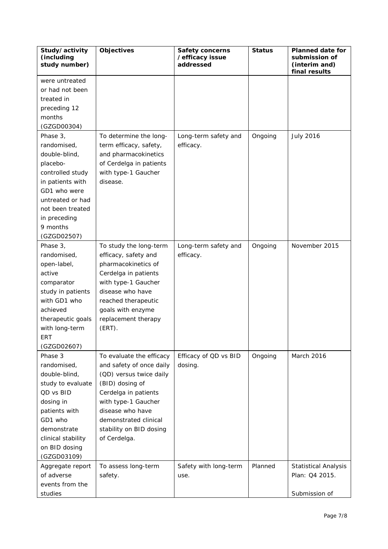| Study/activity<br>(including<br>study number) | Objectives                                          | <b>Safety concerns</b><br>/efficacy issue<br>addressed | <b>Status</b> | <b>Planned date for</b><br>submission of<br>(interim and)<br>final results |
|-----------------------------------------------|-----------------------------------------------------|--------------------------------------------------------|---------------|----------------------------------------------------------------------------|
| were untreated                                |                                                     |                                                        |               |                                                                            |
| or had not been                               |                                                     |                                                        |               |                                                                            |
| treated in                                    |                                                     |                                                        |               |                                                                            |
| preceding 12                                  |                                                     |                                                        |               |                                                                            |
| months                                        |                                                     |                                                        |               |                                                                            |
| (GZGD00304)                                   |                                                     |                                                        |               |                                                                            |
| Phase 3,                                      | To determine the long-                              | Long-term safety and                                   | Ongoing       | <b>July 2016</b>                                                           |
| randomised,                                   | term efficacy, safety,                              | efficacy.                                              |               |                                                                            |
| double-blind,                                 | and pharmacokinetics                                |                                                        |               |                                                                            |
| placebo-                                      | of Cerdelga in patients                             |                                                        |               |                                                                            |
| controlled study                              | with type-1 Gaucher                                 |                                                        |               |                                                                            |
| in patients with                              | disease.                                            |                                                        |               |                                                                            |
| GD1 who were                                  |                                                     |                                                        |               |                                                                            |
| untreated or had                              |                                                     |                                                        |               |                                                                            |
| not been treated                              |                                                     |                                                        |               |                                                                            |
| in preceding                                  |                                                     |                                                        |               |                                                                            |
| 9 months                                      |                                                     |                                                        |               |                                                                            |
| (GZGD02507)                                   |                                                     |                                                        |               |                                                                            |
| Phase 3,                                      | To study the long-term                              | Long-term safety and                                   | Ongoing       | November 2015                                                              |
| randomised,                                   | efficacy, safety and                                | efficacy.                                              |               |                                                                            |
| open-label,                                   | pharmacokinetics of                                 |                                                        |               |                                                                            |
| active                                        | Cerdelga in patients                                |                                                        |               |                                                                            |
| comparator                                    | with type-1 Gaucher                                 |                                                        |               |                                                                            |
| study in patients                             | disease who have                                    |                                                        |               |                                                                            |
| with GD1 who                                  | reached therapeutic                                 |                                                        |               |                                                                            |
| achieved                                      | goals with enzyme                                   |                                                        |               |                                                                            |
| therapeutic goals                             | replacement therapy                                 |                                                        |               |                                                                            |
| with long-term                                | $(ERT)$ .                                           |                                                        |               |                                                                            |
| ERT                                           |                                                     |                                                        |               |                                                                            |
| (GZGD02607)                                   |                                                     |                                                        |               |                                                                            |
| Phase 3<br>randomised,                        | To evaluate the efficacy                            | Efficacy of QD vs BID                                  | Ongoing       | March 2016                                                                 |
| double-blind,                                 | and safety of once daily<br>(QD) versus twice daily | dosing.                                                |               |                                                                            |
| study to evaluate                             | (BID) dosing of                                     |                                                        |               |                                                                            |
| QD vs BID                                     | Cerdelga in patients                                |                                                        |               |                                                                            |
| dosing in                                     | with type-1 Gaucher                                 |                                                        |               |                                                                            |
| patients with                                 | disease who have                                    |                                                        |               |                                                                            |
| GD1 who                                       | demonstrated clinical                               |                                                        |               |                                                                            |
| demonstrate                                   | stability on BID dosing                             |                                                        |               |                                                                            |
| clinical stability                            | of Cerdelga.                                        |                                                        |               |                                                                            |
| on BID dosing                                 |                                                     |                                                        |               |                                                                            |
| (GZGD03109)                                   |                                                     |                                                        |               |                                                                            |
| Aggregate report                              | To assess long-term                                 | Safety with long-term                                  | Planned       | <b>Statistical Analysis</b>                                                |
| of adverse                                    | safety.                                             | use.                                                   |               | Plan: Q4 2015.                                                             |
| events from the                               |                                                     |                                                        |               |                                                                            |
| studies                                       |                                                     |                                                        |               | Submission of                                                              |